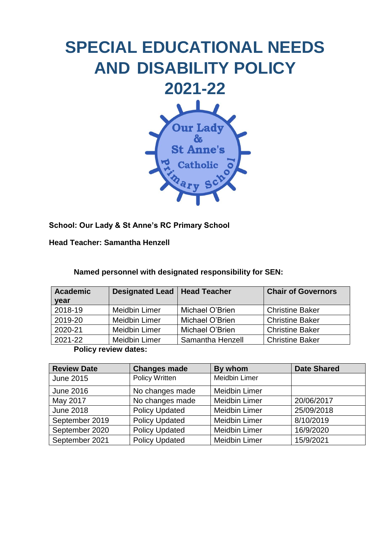

**School: Our Lady & St Anne's RC Primary School** 

**Head Teacher: Samantha Henzell** 

## **Named personnel with designated responsibility for SEN:**

| <b>Academic</b> | <b>Designated Lead   Head Teacher</b> |                  | <b>Chair of Governors</b> |
|-----------------|---------------------------------------|------------------|---------------------------|
| year            |                                       |                  |                           |
| 2018-19         | <b>Meidbin Limer</b>                  | Michael O'Brien  | <b>Christine Baker</b>    |
| 2019-20         | <b>Meidbin Limer</b>                  | Michael O'Brien  | <b>Christine Baker</b>    |
| 2020-21         | <b>Meidbin Limer</b>                  | Michael O'Brien  | <b>Christine Baker</b>    |
| 2021-22         | <b>Meidbin Limer</b>                  | Samantha Henzell | <b>Christine Baker</b>    |

**Policy review dates:** 

| <b>Review Date</b> | <b>Changes made</b>   | By whom              | <b>Date Shared</b> |
|--------------------|-----------------------|----------------------|--------------------|
| <b>June 2015</b>   | <b>Policy Written</b> | <b>Meidbin Limer</b> |                    |
| <b>June 2016</b>   | No changes made       | <b>Meidbin Limer</b> |                    |
| May 2017           | No changes made       | <b>Meidbin Limer</b> | 20/06/2017         |
| <b>June 2018</b>   | <b>Policy Updated</b> | <b>Meidbin Limer</b> | 25/09/2018         |
| September 2019     | <b>Policy Updated</b> | <b>Meidbin Limer</b> | 8/10/2019          |
| September 2020     | <b>Policy Updated</b> | <b>Meidbin Limer</b> | 16/9/2020          |
| September 2021     | <b>Policy Updated</b> | <b>Meidbin Limer</b> | 15/9/2021          |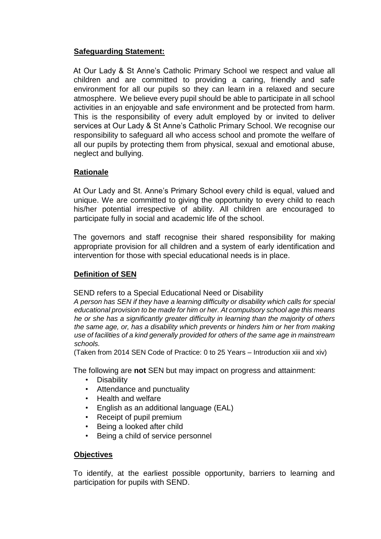## **Safeguarding Statement:**

At Our Lady & St Anne's Catholic Primary School we respect and value all children and are committed to providing a caring, friendly and safe environment for all our pupils so they can learn in a relaxed and secure atmosphere. We believe every pupil should be able to participate in all school activities in an enjoyable and safe environment and be protected from harm. This is the responsibility of every adult employed by or invited to deliver services at Our Lady & St Anne's Catholic Primary School. We recognise our responsibility to safeguard all who access school and promote the welfare of all our pupils by protecting them from physical, sexual and emotional abuse, neglect and bullying.

### **Rationale**

At Our Lady and St. Anne's Primary School every child is equal, valued and unique. We are committed to giving the opportunity to every child to reach his/her potential irrespective of ability. All children are encouraged to participate fully in social and academic life of the school.

The governors and staff recognise their shared responsibility for making appropriate provision for all children and a system of early identification and intervention for those with special educational needs is in place.

### **Definition of SEN**

SEND refers to a Special Educational Need or Disability

*A person has SEN if they have a learning difficulty or disability which calls for special educational provision to be made for him or her. At compulsory school age this means he or she has a significantly greater difficulty in learning than the majority of others the same age, or, has a disability which prevents or hinders him or her from making use of facilities of a kind generally provided for others of the same age in mainstream schools.* 

(Taken from 2014 SEN Code of Practice: 0 to 25 Years – Introduction xiii and xiv)

The following are **not** SEN but may impact on progress and attainment:

- Disability
- Attendance and punctuality
- Health and welfare
- English as an additional language (EAL)
- Receipt of pupil premium
- Being a looked after child
- Being a child of service personnel

#### **Objectives**

To identify, at the earliest possible opportunity, barriers to learning and participation for pupils with SEND.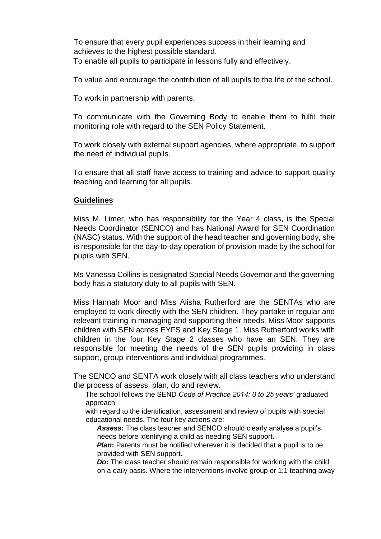To ensure that every pupil experiences success in their learning and achieves to the highest possible standard. To enable all pupils to participate in lessons fully and effectively.

To value and encourage the contribution of all pupils to the life of the school.

To work in partnership with parents.

To communicate with the Governing Body to enable them to fulfil their monitoring role with regard to the SEN Policy Statement.

To work closely with external support agencies, where appropriate, to support the need of individual pupils.

To ensure that all staff have access to training and advice to support quality teaching and learning for all pupils.

#### **Guidelines**

Miss M. Limer, who has responsibility for the Year 4 class, is the Special Needs Coordinator (SENCO) and has National Award for SEN Coordination (NASC) status. With the support of the head teacher and governing body, she is responsible for the day-to-day operation of provision made by the school for pupils with SEN.

Ms Vanessa Collins is designated Special Needs Governor and the governing body has a statutory duty to all pupils with SEN.

Miss Hannah Moor and Miss Alisha Rutherford are the SENTAs who are employed to work directly with the SEN children. They partake in regular and relevant training in managing and supporting their needs. Miss Moor supports children with SEN across EYFS and Key Stage 1. Miss Rutherford works with children in the four Key Stage 2 classes who have an SEN. They are responsible for meeting the needs of the SEN pupils providing in class support, group interventions and individual programmes.

The SENCO and SENTA work closely with all class teachers who understand the process of assess, plan, do and review.

The school follows the SEND *Code of Practice 2014: 0 to 25 years'* graduated approach

with regard to the identification, assessment and review of pupils with special educational needs. The four key actions are:

*Assess***:** The class teacher and SENCO should clearly analyse a pupil's needs before identifying a child as needing SEN support.

*Plan*: Parents must be notified wherever it is decided that a pupil is to be provided with SEN support.

*Do*: The class teacher should remain responsible for working with the child on a daily basis. Where the interventions involve group or 1:1 teaching away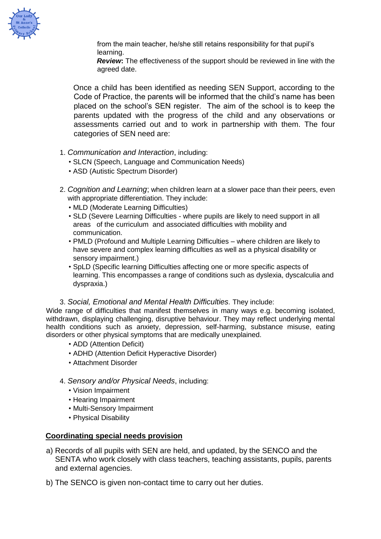

from the main teacher, he/she still retains responsibility for that pupil's learning.

*Review***:** The effectiveness of the support should be reviewed in line with the agreed date.

Once a child has been identified as needing SEN Support, according to the Code of Practice, the parents will be informed that the child's name has been placed on the school's SEN register. The aim of the school is to keep the parents updated with the progress of the child and any observations or assessments carried out and to work in partnership with them. The four categories of SEN need are:

- 1. *Communication and Interaction*, including:
	- SLCN (Speech, Language and Communication Needs)
	- ASD (Autistic Spectrum Disorder)
- 2. *Cognition and Learning*; when children learn at a slower pace than their peers, even with appropriate differentiation. They include:
	- MLD (Moderate Learning Difficulties)
	- SLD (Severe Learning Difficulties where pupils are likely to need support in all areas of the curriculum and associated difficulties with mobility and communication.
	- PMLD (Profound and Multiple Learning Difficulties where children are likely to have severe and complex learning difficulties as well as a physical disability or sensory impairment.)
	- SpLD (Specific learning Difficulties affecting one or more specific aspects of learning. This encompasses a range of conditions such as dyslexia, dyscalculia and dyspraxia.)

#### 3. *Social, Emotional and Mental Health Difficulties.* They include:

Wide range of difficulties that manifest themselves in many ways e.g. becoming isolated, withdrawn, displaying challenging, disruptive behaviour. They may reflect underlying mental health conditions such as anxiety, depression, self-harming, substance misuse, eating disorders or other physical symptoms that are medically unexplained.

- ADD (Attention Deficit)
- ADHD (Attention Deficit Hyperactive Disorder)
- Attachment Disorder
- 4. *Sensory and/or Physical Needs*, including:
	- Vision Impairment
	- Hearing Impairment
	- Multi-Sensory Impairment
	- Physical Disability

#### **Coordinating special needs provision**

- a) Records of all pupils with SEN are held, and updated, by the SENCO and the SENTA who work closely with class teachers, teaching assistants, pupils, parents and external agencies.
- b) The SENCO is given non-contact time to carry out her duties.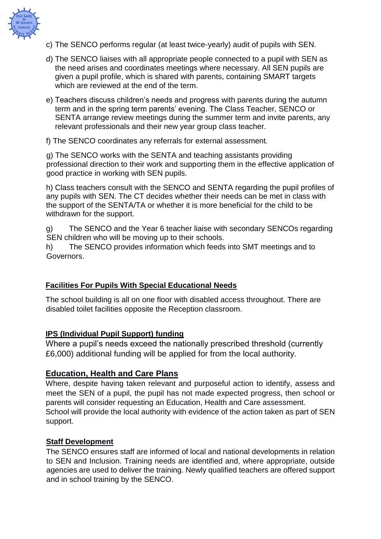

- c) The SENCO performs regular (at least twice-yearly) audit of pupils with SEN.
- d) The SENCO liaises with all appropriate people connected to a pupil with SEN as the need arises and coordinates meetings where necessary. All SEN pupils are given a pupil profile, which is shared with parents, containing SMART targets which are reviewed at the end of the term.
- e) Teachers discuss children's needs and progress with parents during the autumn term and in the spring term parents' evening. The Class Teacher, SENCO or SENTA arrange review meetings during the summer term and invite parents, any relevant professionals and their new year group class teacher.
- f) The SENCO coordinates any referrals for external assessment.

g) The SENCO works with the SENTA and teaching assistants providing professional direction to their work and supporting them in the effective application of good practice in working with SEN pupils.

h) Class teachers consult with the SENCO and SENTA regarding the pupil profiles of any pupils with SEN. The CT decides whether their needs can be met in class with the support of the SENTA/TA or whether it is more beneficial for the child to be withdrawn for the support.

g) The SENCO and the Year 6 teacher liaise with secondary SENCOs regarding SEN children who will be moving up to their schools.

h) The SENCO provides information which feeds into SMT meetings and to Governors.

## **Facilities For Pupils With Special Educational Needs**

The school building is all on one floor with disabled access throughout. There are disabled toilet facilities opposite the Reception classroom.

#### **IPS (Individual Pupil Support) funding**

Where a pupil's needs exceed the nationally prescribed threshold (currently £6,000) additional funding will be applied for from the local authority.

## **Education, Health and Care Plans**

Where, despite having taken relevant and purposeful action to identify, assess and meet the SEN of a pupil, the pupil has not made expected progress, then school or parents will consider requesting an Education, Health and Care assessment. School will provide the local authority with evidence of the action taken as part of SEN support.

#### **Staff Development**

The SENCO ensures staff are informed of local and national developments in relation to SEN and Inclusion. Training needs are identified and, where appropriate, outside agencies are used to deliver the training. Newly qualified teachers are offered support and in school training by the SENCO.